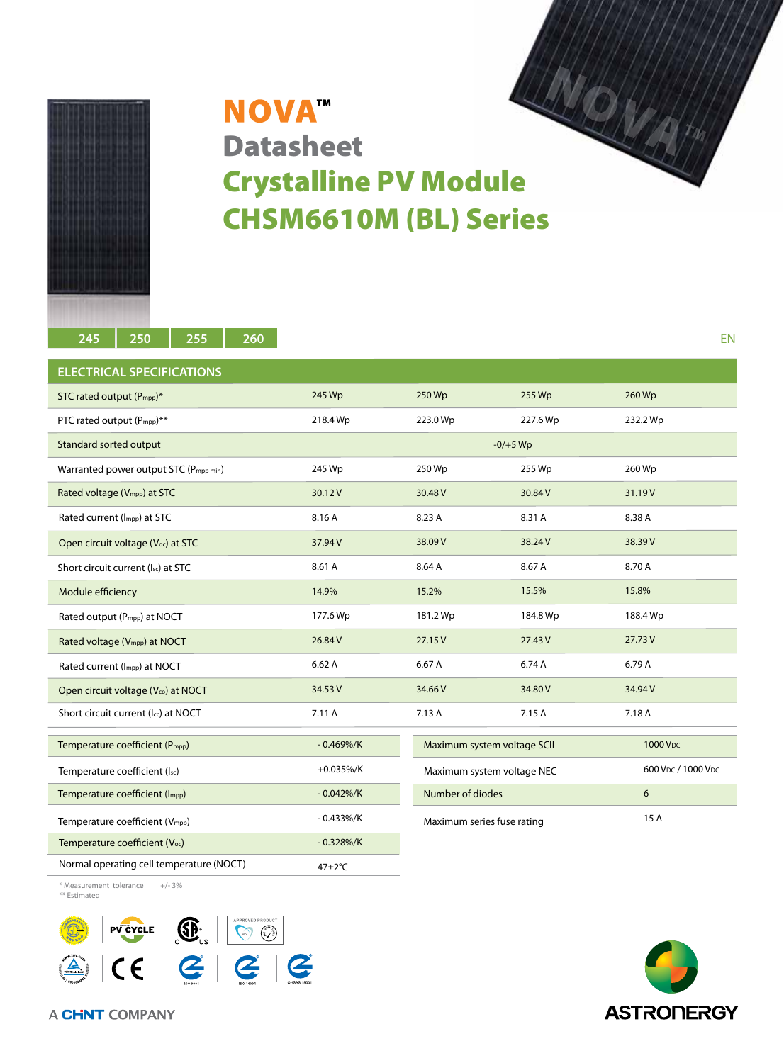

## **NOVA™ Datasheet** Crystalline PV Module CHSM6610M (BL) Series

| 250<br>255<br>260<br>245                    |               |                             |            | EN                   |
|---------------------------------------------|---------------|-----------------------------|------------|----------------------|
| <b>ELECTRICAL SPECIFICATIONS</b>            |               |                             |            |                      |
| STC rated output (P <sub>mpp</sub> )*       | 245 Wp        | 250 Wp                      | 255 Wp     | 260 Wp               |
| PTC rated output (Pmpp)**                   | 218.4 Wp      | 223.0 Wp                    | 227.6 Wp   | 232.2 Wp             |
| Standard sorted output                      |               |                             | $-0/+5$ Wp |                      |
| Warranted power output STC (Pmpp min)       | 245 Wp        | 250 Wp                      | 255 Wp     | 260 Wp               |
| Rated voltage (V <sub>mpp</sub> ) at STC    | 30.12V        | 30.48 V                     | 30.84 V    | 31.19V               |
| Rated current (Impp) at STC                 | 8.16 A        | 8.23 A                      | 8.31 A     | 8.38 A               |
| Open circuit voltage (Voc) at STC           | 37.94 V       | 38.09 V                     | 38.24 V    | 38.39V               |
| Short circuit current (Isc) at STC          | 8.61 A        | 8.64 A                      | 8.67 A     | 8.70 A               |
| Module efficiency                           | 14.9%         | 15.2%                       | 15.5%      | 15.8%                |
| Rated output (P <sub>mpp</sub> ) at NOCT    | 177.6 Wp      | 181.2 Wp                    | 184.8 Wp   | 188.4 Wp             |
| Rated voltage (Vmpp) at NOCT                | 26.84 V       | 27.15 V                     | 27.43 V    | 27.73V               |
| Rated current (Impp) at NOCT                | 6.62A         | 6.67 A                      | 6.74 A     | 6.79 A               |
| Open circuit voltage (Vco) at NOCT          | 34.53 V       | 34.66 V                     | 34.80 V    | 34.94 V              |
| Short circuit current (Icc) at NOCT         | 7.11 A        | 7.13 A                      | 7.15 A     | 7.18 A               |
| Temperature coefficient (P <sub>mpp</sub> ) | $-0.469\%/K$  | Maximum system voltage SCII |            | 1000 V <sub>DC</sub> |
| Temperature coefficient (Isc)               | $+0.035\%/K$  | Maximum system voltage NEC  |            | 600 Vpc / 1000 Vpc   |
| Temperature coefficient (Impp)              | $-0.042\%$ /K | Number of diodes            |            | 6                    |
| Temperature coefficient (Vmpp)              | $-0.433\%/K$  | Maximum series fuse rating  |            | 15A                  |
| Temperature coefficient (Voc)               | $-0.328\%/K$  |                             |            |                      |
| Normal operating cell temperature (NOCT)    | 47±2°C        |                             |            |                      |

\* Measurement tolerance +/- 3%

\*\* Estimated



**ASTRONERGY** 

A CHNT COMPANY